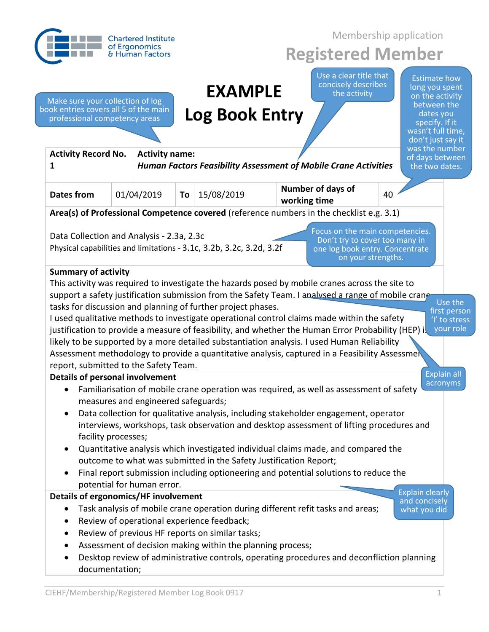|                                                                                                            |  | <b>Chartered Institute</b>                                                               | Membership application |                                                                                                                                                                                                    |                                   |                                                                                         |    |                                                                                                                                                  |
|------------------------------------------------------------------------------------------------------------|--|------------------------------------------------------------------------------------------|------------------------|----------------------------------------------------------------------------------------------------------------------------------------------------------------------------------------------------|-----------------------------------|-----------------------------------------------------------------------------------------|----|--------------------------------------------------------------------------------------------------------------------------------------------------|
|                                                                                                            |  | of Ergonomics<br>& Human Factors                                                         |                        |                                                                                                                                                                                                    |                                   | <b>Registered Member</b>                                                                |    |                                                                                                                                                  |
| Make sure your collection of log<br>book entries covers all 5 of the main<br>professional competency areas |  |                                                                                          |                        | <b>EXAMPLE</b><br><b>Log Book Entry</b>                                                                                                                                                            |                                   | Use a clear title that<br>concisely describes<br>the activity                           |    | <b>Estimate how</b><br>long you spent<br>on the activity<br>between the<br>dates you<br>specify. If it<br>wasn't full time,<br>don't just say it |
| <b>Activity Record No.</b><br>1                                                                            |  | <b>Activity name:</b><br>Human Factors Feasibility Assessment of Mobile Crane Activities |                        |                                                                                                                                                                                                    |                                   |                                                                                         |    | was the number<br>of days between<br>the two dates.                                                                                              |
| <b>Dates from</b>                                                                                          |  | 01/04/2019                                                                               | To                     | 15/08/2019                                                                                                                                                                                         | Number of days of<br>working time |                                                                                         | 40 |                                                                                                                                                  |
|                                                                                                            |  |                                                                                          |                        | Area(s) of Professional Competence covered (reference numbers in the checklist e.g. 3.1)                                                                                                           |                                   |                                                                                         |    |                                                                                                                                                  |
| <b>Summary of activity</b>                                                                                 |  |                                                                                          |                        | Physical capabilities and limitations - 3.1c, 3.2b, 3.2c, 3.2d, 3.2f                                                                                                                               |                                   | Don't try to cover too many in<br>one log book entry. Concentrate<br>on your strengths. |    |                                                                                                                                                  |
|                                                                                                            |  |                                                                                          |                        | This activity was required to investigate the hazards posed by mobile cranes across the site to                                                                                                    |                                   |                                                                                         |    |                                                                                                                                                  |
|                                                                                                            |  |                                                                                          |                        | support a safety justification submission from the Safety Team. I analysed a range of mobile crane                                                                                                 |                                   |                                                                                         |    | Use the                                                                                                                                          |
|                                                                                                            |  |                                                                                          |                        | tasks for discussion and planning of further project phases.                                                                                                                                       |                                   |                                                                                         |    | first person                                                                                                                                     |
|                                                                                                            |  |                                                                                          |                        | I used qualitative methods to investigate operational control claims made within the safety<br>justification to provide a measure of feasibility, and whether the Human Error Probability (HEP) is |                                   |                                                                                         |    | 'I' to stress<br>your role                                                                                                                       |
|                                                                                                            |  |                                                                                          |                        | likely to be supported by a more detailed substantiation analysis. I used Human Reliability                                                                                                        |                                   |                                                                                         |    |                                                                                                                                                  |
|                                                                                                            |  |                                                                                          |                        | Assessment methodology to provide a quantitative analysis, captured in a Feasibility Assessmen                                                                                                     |                                   |                                                                                         |    |                                                                                                                                                  |
| report, submitted to the Safety Team.                                                                      |  |                                                                                          |                        |                                                                                                                                                                                                    |                                   |                                                                                         |    |                                                                                                                                                  |
| <b>Details of personal involvement</b>                                                                     |  |                                                                                          |                        |                                                                                                                                                                                                    |                                   |                                                                                         |    | <b>Explain all</b><br>acronyms                                                                                                                   |
| ٠                                                                                                          |  | measures and engineered safeguards;                                                      |                        | Familiarisation of mobile crane operation was required, as well as assessment of safety                                                                                                            |                                   |                                                                                         |    |                                                                                                                                                  |
| $\bullet$                                                                                                  |  |                                                                                          |                        | Data collection for qualitative analysis, including stakeholder engagement, operator                                                                                                               |                                   |                                                                                         |    |                                                                                                                                                  |
|                                                                                                            |  |                                                                                          |                        | interviews, workshops, task observation and desktop assessment of lifting procedures and                                                                                                           |                                   |                                                                                         |    |                                                                                                                                                  |
| facility processes;                                                                                        |  |                                                                                          |                        |                                                                                                                                                                                                    |                                   |                                                                                         |    |                                                                                                                                                  |
|                                                                                                            |  |                                                                                          |                        | Quantitative analysis which investigated individual claims made, and compared the                                                                                                                  |                                   |                                                                                         |    |                                                                                                                                                  |
|                                                                                                            |  |                                                                                          |                        | outcome to what was submitted in the Safety Justification Report;<br>Final report submission including optioneering and potential solutions to reduce the                                          |                                   |                                                                                         |    |                                                                                                                                                  |
|                                                                                                            |  | potential for human error.                                                               |                        |                                                                                                                                                                                                    |                                   |                                                                                         |    |                                                                                                                                                  |
| Details of ergonomics/HF involvement                                                                       |  |                                                                                          |                        |                                                                                                                                                                                                    |                                   |                                                                                         |    | <b>Explain clearly</b><br>and concisely                                                                                                          |
|                                                                                                            |  |                                                                                          |                        | Task analysis of mobile crane operation during different refit tasks and areas;                                                                                                                    |                                   |                                                                                         |    | what you did                                                                                                                                     |
|                                                                                                            |  |                                                                                          |                        | Review of operational experience feedback;                                                                                                                                                         |                                   |                                                                                         |    |                                                                                                                                                  |
| $\bullet$                                                                                                  |  |                                                                                          |                        | Review of previous HF reports on similar tasks;                                                                                                                                                    |                                   |                                                                                         |    |                                                                                                                                                  |
|                                                                                                            |  |                                                                                          |                        |                                                                                                                                                                                                    |                                   |                                                                                         |    |                                                                                                                                                  |
| documentation;                                                                                             |  |                                                                                          |                        | Assessment of decision making within the planning process;<br>Desktop review of administrative controls, operating procedures and deconfliction planning                                           |                                   |                                                                                         |    |                                                                                                                                                  |